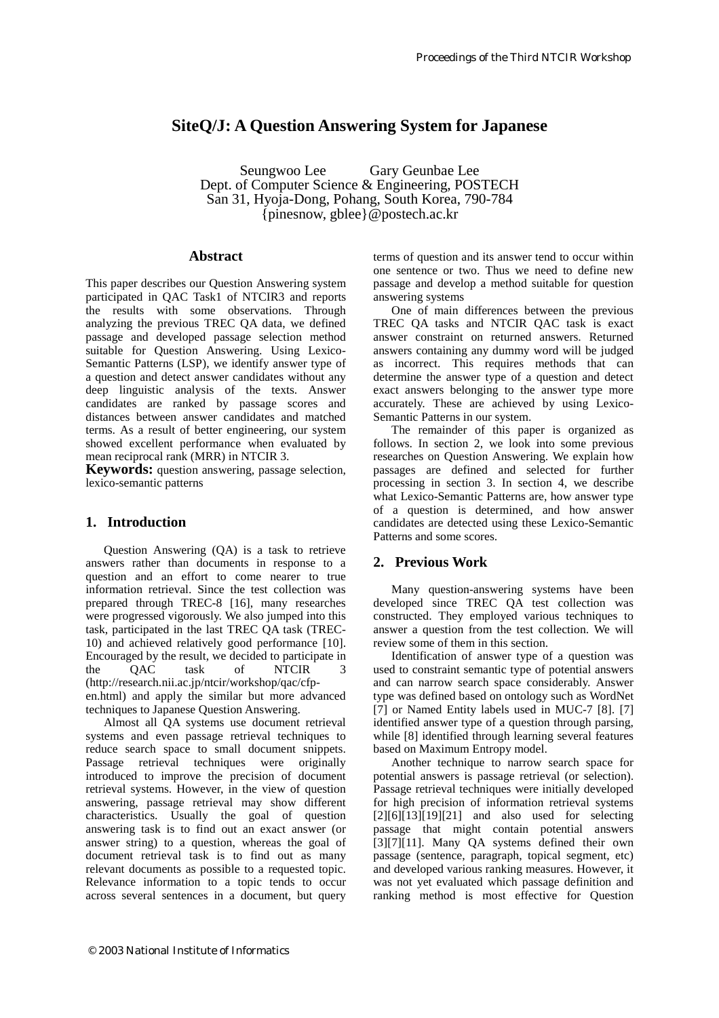# **SiteQ/J: A Question Answering System for Japanese**

Seungwoo Lee Gary Geunbae Lee Dept. of Computer Science & Engineering, POSTECH San 31, Hyoja-Dong, Pohang, South Korea, 790-784 {pinesnow, gblee}@postech.ac.kr

### **Abstract**

This paper describes our Question Answering system participated in QAC Task1 of NTCIR3 and reports the results with some observations. Through analyzing the previous TREC QA data, we defined passage and developed passage selection method suitable for Question Answering. Using Lexico-Semantic Patterns (LSP), we identify answer type of a question and detect answer candidates without any deep linguistic analysis of the texts. Answer candidates are ranked by passage scores and distances between answer candidates and matched terms. As a result of better engineering, our system showed excellent performance when evaluated by mean reciprocal rank (MRR) in NTCIR 3.

**Keywords:** question answering, passage selection, lexico-semantic patterns

### **1. Introduction**

Question Answering (QA) is a task to retrieve answers rather than documents in response to a question and an effort to come nearer to true information retrieval. Since the test collection was prepared through TREC-8 [16], many researches were progressed vigorously. We also jumped into this task, participated in the last TREC QA task (TREC-10) and achieved relatively good performance [10]. Encouraged by the result, we decided to participate in<br>the OAC task of NTCIR 3 the QAC task of NTCIR 3 (http://research.nii.ac.jp/ntcir/workshop/qac/cfpen.html) and apply the similar but more advanced techniques to Japanese Question Answering.

Almost all QA systems use document retrieval systems and even passage retrieval techniques to reduce search space to small document snippets. Passage retrieval techniques were originally introduced to improve the precision of document retrieval systems. However, in the view of question answering, passage retrieval may show different characteristics. Usually the goal of question answering task is to find out an exact answer (or answer string) to a question, whereas the goal of document retrieval task is to find out as many relevant documents as possible to a requested topic. Relevance information to a topic tends to occur across several sentences in a document, but query

terms of question and its answer tend to occur within one sentence or two. Thus we need to define new passage and develop a method suitable for question answering systems

One of main differences between the previous TREC QA tasks and NTCIR QAC task is exact answer constraint on returned answers. Returned answers containing any dummy word will be judged as incorrect. This requires methods that can determine the answer type of a question and detect exact answers belonging to the answer type more accurately. These are achieved by using Lexico-Semantic Patterns in our system.

The remainder of this paper is organized as follows. In section 2, we look into some previous researches on Question Answering. We explain how passages are defined and selected for further processing in section 3. In section 4, we describe what Lexico-Semantic Patterns are, how answer type of a question is determined, and how answer candidates are detected using these Lexico-Semantic Patterns and some scores.

## **2. Previous Work**

Many question-answering systems have been developed since TREC QA test collection was constructed. They employed various techniques to answer a question from the test collection. We will review some of them in this section.

Identification of answer type of a question was used to constraint semantic type of potential answers and can narrow search space considerably. Answer type was defined based on ontology such as WordNet [7] or Named Entity labels used in MUC-7 [8]. [7] identified answer type of a question through parsing, while [8] identified through learning several features based on Maximum Entropy model.

Another technique to narrow search space for potential answers is passage retrieval (or selection). Passage retrieval techniques were initially developed for high precision of information retrieval systems  $[2][6][13][19][21]$  and also used for selecting passage that might contain potential answers [3][7][11]. Many QA systems defined their own passage (sentence, paragraph, topical segment, etc) and developed various ranking measures. However, it was not yet evaluated which passage definition and ranking method is most effective for Question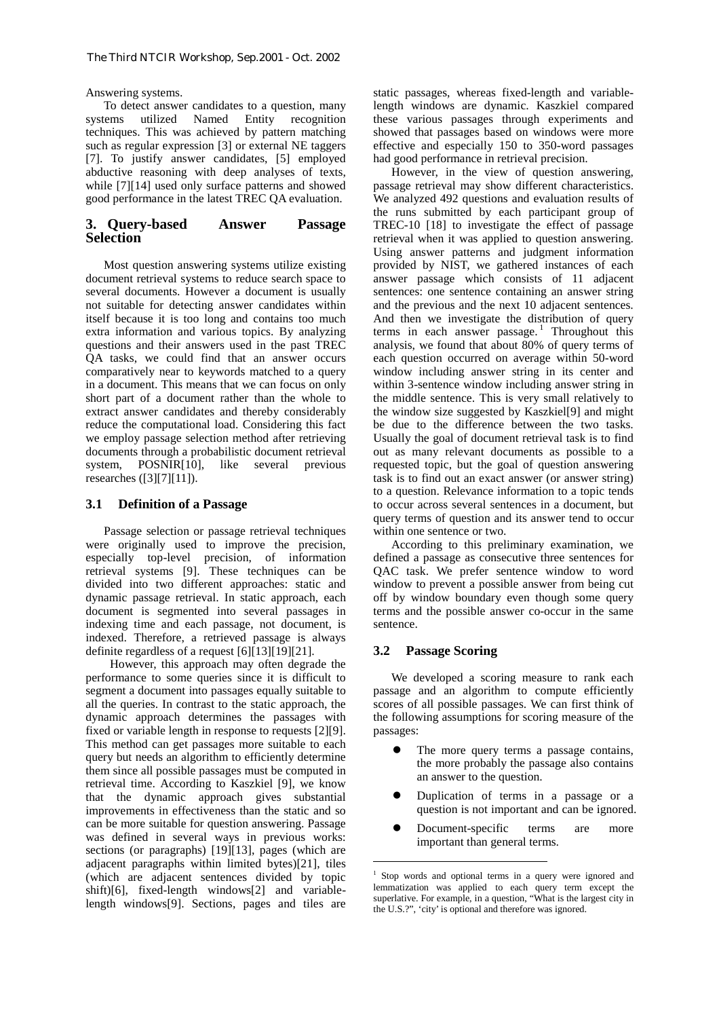Answering systems.

To detect answer candidates to a question, many systems utilized Named Entity recognition techniques. This was achieved by pattern matching such as regular expression [3] or external NE taggers [7]. To justify answer candidates, [5] employed abductive reasoning with deep analyses of texts, while [7][14] used only surface patterns and showed good performance in the latest TREC QA evaluation.

### **3. Query-based Answer Passage Selection**

Most question answering systems utilize existing document retrieval systems to reduce search space to several documents. However a document is usually not suitable for detecting answer candidates within itself because it is too long and contains too much extra information and various topics. By analyzing questions and their answers used in the past TREC QA tasks, we could find that an answer occurs comparatively near to keywords matched to a query in a document. This means that we can focus on only short part of a document rather than the whole to extract answer candidates and thereby considerably reduce the computational load. Considering this fact we employ passage selection method after retrieving documents through a probabilistic document retrieval system, POSNIR[10], like several previous researches ([3][7][11]).

### **3.1 Definition of a Passage**

Passage selection or passage retrieval techniques were originally used to improve the precision, especially top-level precision, of information retrieval systems [9]. These techniques can be divided into two different approaches: static and dynamic passage retrieval. In static approach, each document is segmented into several passages in indexing time and each passage, not document, is indexed. Therefore, a retrieved passage is always definite regardless of a request [6][13][19][21].

 However, this approach may often degrade the performance to some queries since it is difficult to segment a document into passages equally suitable to all the queries. In contrast to the static approach, the dynamic approach determines the passages with fixed or variable length in response to requests [2][9]. This method can get passages more suitable to each query but needs an algorithm to efficiently determine them since all possible passages must be computed in retrieval time. According to Kaszkiel [9], we know that the dynamic approach gives substantial improvements in effectiveness than the static and so can be more suitable for question answering. Passage was defined in several ways in previous works: sections (or paragraphs) [19][13], pages (which are adjacent paragraphs within limited bytes)[21], tiles (which are adjacent sentences divided by topic shift)[6], fixed-length windows[2] and variablelength windows[9]. Sections, pages and tiles are

static passages, whereas fixed-length and variablelength windows are dynamic. Kaszkiel compared these various passages through experiments and showed that passages based on windows were more effective and especially 150 to 350-word passages had good performance in retrieval precision.

However, in the view of question answering, passage retrieval may show different characteristics. We analyzed 492 questions and evaluation results of the runs submitted by each participant group of TREC-10 [18] to investigate the effect of passage retrieval when it was applied to question answering. Using answer patterns and judgment information provided by NIST, we gathered instances of each answer passage which consists of 11 adjacent sentences: one sentence containing an answer string and the previous and the next 10 adjacent sentences. And then we investigate the distribution of query terms in each answer passage.<sup>1</sup> Throughout this analysis, we found that about 80% of query terms of each question occurred on average within 50-word window including answer string in its center and within 3-sentence window including answer string in the middle sentence. This is very small relatively to the window size suggested by Kaszkiel[9] and might be due to the difference between the two tasks. Usually the goal of document retrieval task is to find out as many relevant documents as possible to a requested topic, but the goal of question answering task is to find out an exact answer (or answer string) to a question. Relevance information to a topic tends to occur across several sentences in a document, but query terms of question and its answer tend to occur within one sentence or two.

According to this preliminary examination, we defined a passage as consecutive three sentences for QAC task. We prefer sentence window to word window to prevent a possible answer from being cut off by window boundary even though some query terms and the possible answer co-occur in the same sentence.

#### **3.2 Passage Scoring**

We developed a scoring measure to rank each passage and an algorithm to compute efficiently scores of all possible passages. We can first think of the following assumptions for scoring measure of the passages:

- The more query terms a passage contains, the more probably the passage also contains an answer to the question.
- ! Duplication of terms in a passage or a question is not important and can be ignored.
- Document-specific terms are more important than general terms.

<sup>1</sup> Stop words and optional terms in a query were ignored and lemmatization was applied to each query term except the superlative. For example, in a question, "What is the largest city in the U.S.?", 'city' is optional and therefore was ignored.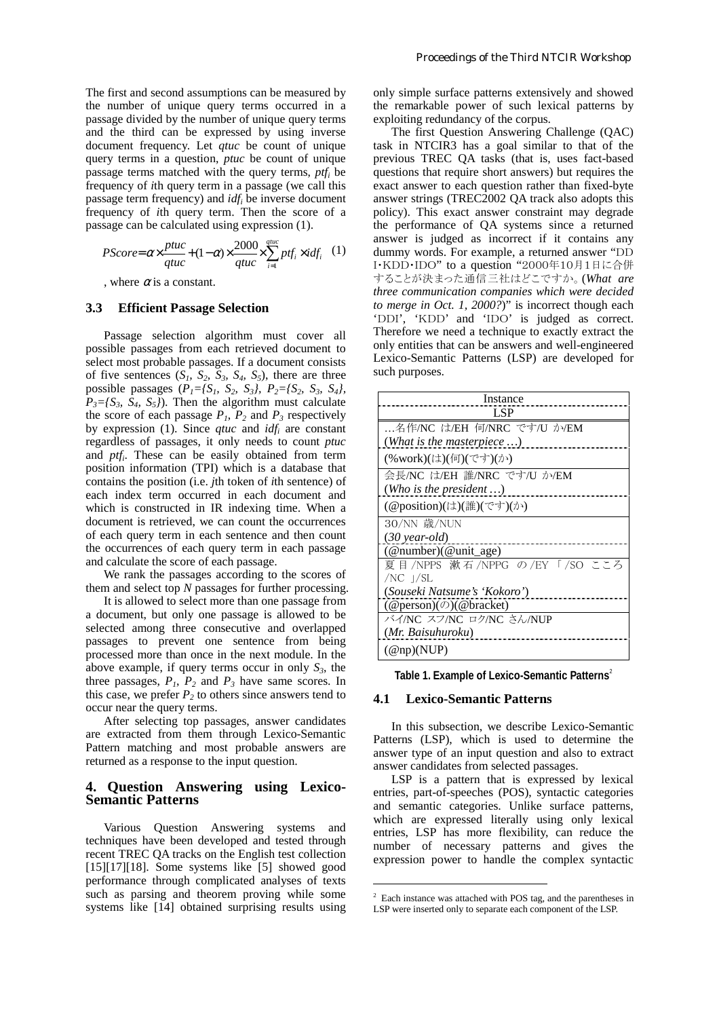The first and second assumptions can be measured by the number of unique query terms occurred in a passage divided by the number of unique query terms and the third can be expressed by using inverse document frequency. Let *qtuc* be count of unique query terms in a question, *ptuc* be count of unique passage terms matched with the query terms, *ptfi* be frequency of *i*th query term in a passage (we call this passage term frequency) and *idfi* be inverse document frequency of *i*th query term. Then the score of a passage can be calculated using expression (1).

$$
PScore = \alpha \times \frac{ptuc}{qtuc} + (1-\alpha) \times \frac{2000}{qtuc} \times \sum_{i=1}^{qtuc} ptf_i \times idf_i \quad (1)
$$

, where  $\alpha$  is a constant.

#### **3.3 Efficient Passage Selection**

Passage selection algorithm must cover all possible passages from each retrieved document to select most probable passages. If a document consists of five sentences  $(S_1, S_2, S_3, S_4, S_5)$ , there are three possible passages (*P1={S1, S2, S3}, P2={S2, S3, S4},*   $P_3 = \{S_3, S_4, S_5\}$ . Then the algorithm must calculate the score of each passage  $P_1$ ,  $P_2$  and  $P_3$  respectively by expression (1). Since *qtuc* and *idfi* are constant regardless of passages, it only needs to count *ptuc* and *ptfi*. These can be easily obtained from term position information (TPI) which is a database that contains the position (i.e. *j*th token of *i*th sentence) of each index term occurred in each document and which is constructed in IR indexing time. When a document is retrieved, we can count the occurrences of each query term in each sentence and then count the occurrences of each query term in each passage and calculate the score of each passage.

We rank the passages according to the scores of them and select top *N* passages for further processing.

It is allowed to select more than one passage from a document, but only one passage is allowed to be selected among three consecutive and overlapped passages to prevent one sentence from being processed more than once in the next module. In the above example, if query terms occur in only  $S_3$ , the three passages,  $P_1$ ,  $P_2$  and  $P_3$  have same scores. In this case, we prefer  $P_2$  to others since answers tend to occur near the query terms.

After selecting top passages, answer candidates are extracted from them through Lexico-Semantic Pattern matching and most probable answers are returned as a response to the input question.

#### **4. Question Answering using Lexico-Semantic Patterns**

Various Question Answering systems and techniques have been developed and tested through recent TREC QA tracks on the English test collection [15][17][18]. Some systems like [5] showed good performance through complicated analyses of texts such as parsing and theorem proving while some systems like [14] obtained surprising results using only simple surface patterns extensively and showed the remarkable power of such lexical patterns by exploiting redundancy of the corpus.

The first Question Answering Challenge (QAC) task in NTCIR3 has a goal similar to that of the previous TREC QA tasks (that is, uses fact-based questions that require short answers) but requires the exact answer to each question rather than fixed-byte answer strings (TREC2002 QA track also adopts this policy). This exact answer constraint may degrade the performance of QA systems since a returned answer is judged as incorrect if it contains any dummy words. For example, a returned answer "DD I・KDD・IDO" to a question "2000年10月1日に合併 することが決まった通信三社はどこですか。(*What are three communication companies which were decided to merge in Oct. 1, 2000?*)" is incorrect though each 'DDI', 'KDD' and 'IDO' is judged as correct. Therefore we need a technique to exactly extract the only entities that can be answers and well-engineered Lexico-Semantic Patterns (LSP) are developed for such purposes.

| Instance                                               |
|--------------------------------------------------------|
| LSP                                                    |
| 名作/NC は/EH 何/NRC です/U か/EM                             |
| (What is the masterpiece $\ldots$ )                    |
| (%work)(は)(何)(です)(か)                                   |
| 会長/NC は/EH 誰/NRC です/U か/EM                             |
| ( <i>Who is the president</i> )                        |
| (@position)(は)(誰)(です)(か)                               |
| 30/NN 歳/NUN                                            |
| $(30 \text{ year-}old)$                                |
| $(@number)(@unit_age)$                                 |
| 夏目/NPPS 漱石/NPPG の/EY「/SO こころ                           |
| $/NC$ $]/SL$                                           |
| (Souseki Natsume's 'Kokoro')                           |
| $(\textcircled{e}$ person $)(\textcircled{e}$ bracket) |
| バイ/NC スフ/NC ロク/NC さん/NUP                               |
| (Mr. Baisuhuroku)                                      |
| $(\mathcal{Q}$ np)(NUP)                                |

**Table 1. Example of Lexico-Semantic Patterns**<sup>2</sup>

#### **4.1 Lexico-Semantic Patterns**

In this subsection, we describe Lexico-Semantic Patterns (LSP), which is used to determine the answer type of an input question and also to extract answer candidates from selected passages.

LSP is a pattern that is expressed by lexical entries, part-of-speeches (POS), syntactic categories and semantic categories. Unlike surface patterns, which are expressed literally using only lexical entries, LSP has more flexibility, can reduce the number of necessary patterns and gives the expression power to handle the complex syntactic

<sup>&</sup>lt;sup>2</sup> Each instance was attached with POS tag, and the parentheses in LSP were inserted only to separate each component of the LSP.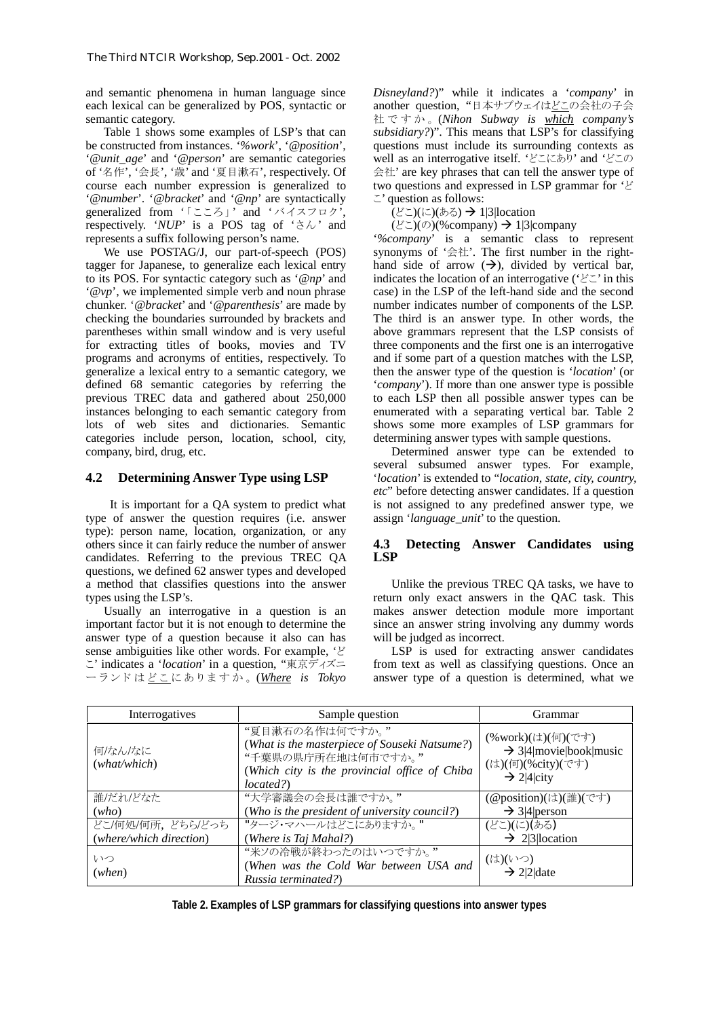and semantic phenomena in human language since each lexical can be generalized by POS, syntactic or semantic category.

Table 1 shows some examples of LSP's that can be constructed from instances. '*%work*', '*@position*', '*@unit\_age*' and '*@person*' are semantic categories of '名作', '会長', '歳' and '夏目漱石', respectively. Of course each number expression is generalized to '*@number*'. '*@bracket*' and '*@np*' are syntactically generalized from '「こころ」' and 'バイスフロク', respectively. ' $NUP$ ' is a POS tag of ' $\forall \& \&$  and represents a suffix following person's name.

We use POSTAG/J, our part-of-speech (POS) tagger for Japanese, to generalize each lexical entry to its POS. For syntactic category such as '*@np*' and '*@vp*', we implemented simple verb and noun phrase chunker. '*@bracket*' and '*@parenthesis*' are made by checking the boundaries surrounded by brackets and parentheses within small window and is very useful for extracting titles of books, movies and TV programs and acronyms of entities, respectively. To generalize a lexical entry to a semantic category, we defined 68 semantic categories by referring the previous TREC data and gathered about 250,000 instances belonging to each semantic category from lots of web sites and dictionaries. Semantic categories include person, location, school, city, company, bird, drug, etc.

### **4.2 Determining Answer Type using LSP**

 It is important for a QA system to predict what type of answer the question requires (i.e. answer type): person name, location, organization, or any others since it can fairly reduce the number of answer candidates. Referring to the previous TREC QA questions, we defined 62 answer types and developed a method that classifies questions into the answer types using the LSP's.

Usually an interrogative in a question is an important factor but it is not enough to determine the answer type of a question because it also can has sense ambiguities like other words. For example, 'ど こ' indicates a '*location*' in a question, "東京ディズニ ーランドはどこ にありますか。 (*Where is Tokyo* 

*Disneyland?*)" while it indicates a '*company*' in another question, "日本サブウェイはどこの会社の子会 社ですか。 (*Nihon Subway is which company's subsidiary?*)". This means that LSP's for classifying questions must include its surrounding contexts as well as an interrogative itself. 'どこにあり' and 'どこの 会社' are key phrases that can tell the answer type of two questions and expressed in LSP grammar for 'ど こ' question as follows:

(どこ)(に)(ある) → 1|3|location

(どこ)(の)(%company)  $\rightarrow$  1|3|company

'*%company*' is a semantic class to represent synonyms of '会社'. The first number in the righthand side of arrow  $(\rightarrow)$ , divided by vertical bar, indicates the location of an interrogative ('どこ' in this case) in the LSP of the left-hand side and the second number indicates number of components of the LSP. The third is an answer type. In other words, the above grammars represent that the LSP consists of three components and the first one is an interrogative and if some part of a question matches with the LSP, then the answer type of the question is '*location*' (or '*company*'). If more than one answer type is possible to each LSP then all possible answer types can be enumerated with a separating vertical bar. Table 2 shows some more examples of LSP grammars for determining answer types with sample questions.

Determined answer type can be extended to several subsumed answer types. For example, '*location*' is extended to "*location, state, city, country, etc*" before detecting answer candidates. If a question is not assigned to any predefined answer type, we assign '*language\_unit*' to the question.

### **4.3 Detecting Answer Candidates using LSP**

Unlike the previous TREC QA tasks, we have to return only exact answers in the QAC task. This makes answer detection module more important since an answer string involving any dummy words will be judged as incorrect.

LSP is used for extracting answer candidates from text as well as classifying questions. Once an answer type of a question is determined, what we

| Interrogatives          | Sample question                                                                                                                                      | Grammar                                                                                                |
|-------------------------|------------------------------------------------------------------------------------------------------------------------------------------------------|--------------------------------------------------------------------------------------------------------|
| 何/なん/なに<br>(what/which) | "夏目漱石の名作は何ですか。"<br>(What is the masterpiece of Souseki Natsume?)<br>"千葉県の県庁所在地は何市ですか。"<br>(Which city is the provincial office of Chiba<br>located?) | (%work)(は)(何)(です)<br>$\rightarrow$ 3 4 movie book music<br>(は)(何)(%city)(です)<br>$\rightarrow$ 2 4 city |
| 誰/だれ/どなた                | "大学審議会の会長は誰ですか。"                                                                                                                                     | (@position)(は)(誰)(です)                                                                                  |
| (who)                   | (Who is the president of university council?)                                                                                                        | $\rightarrow$ 3 4 person                                                                               |
| どこ/何処/何所、どちら/どっち        | "タージ・マハールはどこにありますか。"                                                                                                                                 | (どこ)(に)(ある)                                                                                            |
| (where/which direction) | (Where is Taj Mahal?)                                                                                                                                | $\rightarrow$ 2 3  location                                                                            |
| いつ<br>(when)            | "米ソの冷戦が終わったのはいつですか。"<br>(When was the Cold War between USA and<br>Russia terminated?)                                                                | (は)(いつ)<br>$\rightarrow$ 2 2 date                                                                      |

**Table 2. Examples of LSP grammars for classifying questions into answer types**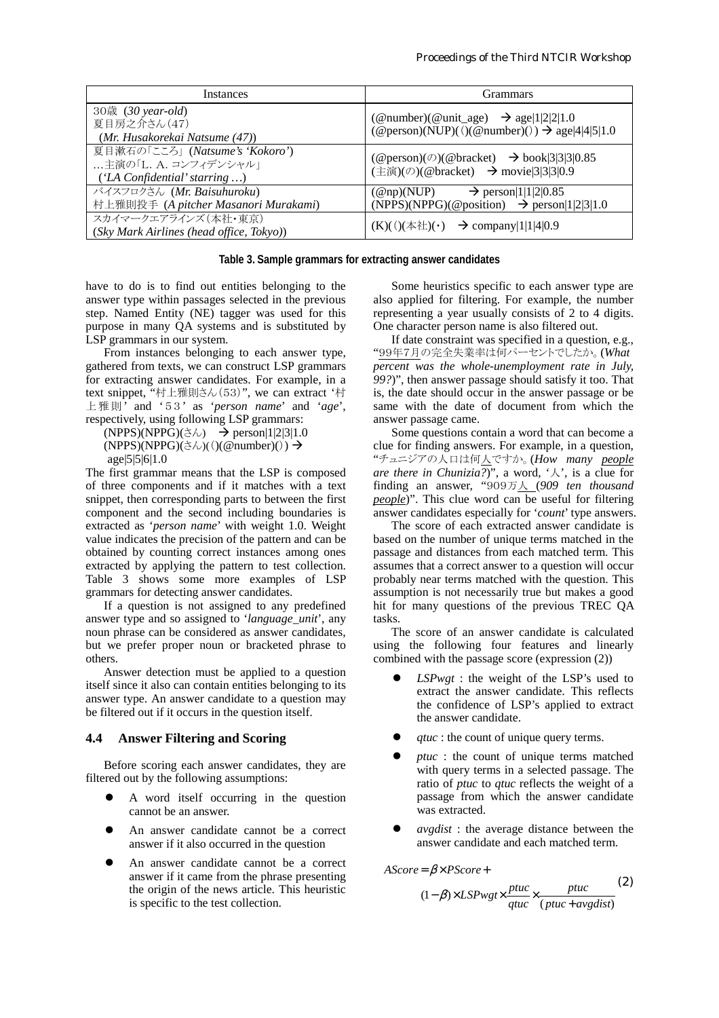| <i>Instances</i>                                                                            | <b>Grammars</b>                                                                                                                                                                |  |
|---------------------------------------------------------------------------------------------|--------------------------------------------------------------------------------------------------------------------------------------------------------------------------------|--|
| 30歳 (30 year-old)<br>夏目房之介さん(47)<br>(Mr. Husakorekai Natsume (47))                          | (@number)(@unit_age) $\rightarrow$ age 1 2 2 1.0<br>$(\textcircled{e}$ person)(NUP)(()( $\textcircled{e}$ number)()) $\rightarrow$ age 4 4 5 1.0                               |  |
| 夏目漱石の「こころ」 (Natsume's 'Kokoro')<br>主演の「L. A. コンフィデンシャル」<br>$( 'LA$ Confidential' starring ) | $(\textcircled{e}$ person $)(\textcircled{e})$ ( $\textcircled{e}$ bracket) $\rightarrow$ book [3] 3] 3] 0.85<br>(主演)(の)(@bracket) → movie $\vert 3 \vert 3 \vert 3 \vert 0.9$ |  |
| バイスフロクさん (Mr. Baisuhuroku)<br>村上雅則投手 (A pitcher Masanori Murakami)                          | $\rightarrow$ person 1 1 2 0.85<br>$(\mathcal{Q}$ np)(NUP)<br>(NPPS)(NPPG)(@position) $\rightarrow$ person 1 2 3 1.0                                                           |  |
| スカイマークエアラインズ(本社・東京)<br>(Sky Mark Airlines (head office, Tokyo))                             | (K)(()(本社)(⋅) → company 1 1 4 0.9                                                                                                                                              |  |

#### **Table 3. Sample grammars for extracting answer candidates**

have to do is to find out entities belonging to the answer type within passages selected in the previous step. Named Entity (NE) tagger was used for this purpose in many QA systems and is substituted by LSP grammars in our system.

From instances belonging to each answer type, gathered from texts, we can construct LSP grammars for extracting answer candidates. For example, in a text snippet, "村上雅則さん(53)", we can extract '村 上雅則' and '5 3 ' as '*person name*' and '*age*', respectively, using following LSP grammars:

 $(NPPS)(NPPG)(\check{\sigma}\&\;$   $\rightarrow$  person|1|2|3|1.0  $(NPPS)(NPPG)(\geq \lambda)(()(@number)()) \rightarrow$ age|5|5|6|1.0

The first grammar means that the LSP is composed of three components and if it matches with a text snippet, then corresponding parts to between the first component and the second including boundaries is extracted as '*person name*' with weight 1.0. Weight value indicates the precision of the pattern and can be obtained by counting correct instances among ones extracted by applying the pattern to test collection. Table 3 shows some more examples of LSP grammars for detecting answer candidates.

If a question is not assigned to any predefined answer type and so assigned to '*language\_unit*', any noun phrase can be considered as answer candidates, but we prefer proper noun or bracketed phrase to others.

Answer detection must be applied to a question itself since it also can contain entities belonging to its answer type. An answer candidate to a question may be filtered out if it occurs in the question itself.

#### **4.4 Answer Filtering and Scoring**

Before scoring each answer candidates, they are filtered out by the following assumptions:

- ! A word itself occurring in the question cannot be an answer.
- ! An answer candidate cannot be a correct answer if it also occurred in the question
- ! An answer candidate cannot be a correct answer if it came from the phrase presenting the origin of the news article. This heuristic is specific to the test collection.

Some heuristics specific to each answer type are also applied for filtering. For example, the number representing a year usually consists of 2 to 4 digits. One character person name is also filtered out.

If date constraint was specified in a question, e.g., "99年7月の完全失業率は何パーセントでしたか。(*What percent was the whole-unemployment rate in July, 99?*)", then answer passage should satisfy it too. That is, the date should occur in the answer passage or be same with the date of document from which the answer passage came.

Some questions contain a word that can become a clue for finding answers. For example, in a question, "チュニジアの人口は何人ですか。(*How many people are there in Chunizia?*)", a word, ' $\lambda$ ', is a clue for finding an answer, "909万人 (*909 ten thousand people*)". This clue word can be useful for filtering answer candidates especially for '*count*' type answers.

The score of each extracted answer candidate is based on the number of unique terms matched in the passage and distances from each matched term. This assumes that a correct answer to a question will occur probably near terms matched with the question. This assumption is not necessarily true but makes a good hit for many questions of the previous TREC QA tasks.

The score of an answer candidate is calculated using the following four features and linearly combined with the passage score (expression (2))

- LSPwgt : the weight of the LSP's used to extract the answer candidate. This reflects the confidence of LSP's applied to extract the answer candidate.
- *qtuc* : the count of unique query terms.
- ! *ptuc* : the count of unique terms matched with query terms in a selected passage. The ratio of *ptuc* to *qtuc* reflects the weight of a passage from which the answer candidate was extracted.
- ! *avgdist* : the average distance between the answer candidate and each matched term.

AScore = β× PScore+

$$
(1 - \beta) \times LSPwgt \times \frac{ptuc}{qtuc} \times \frac{ptuc}{(ptuc+avgdist)}
$$
 (2)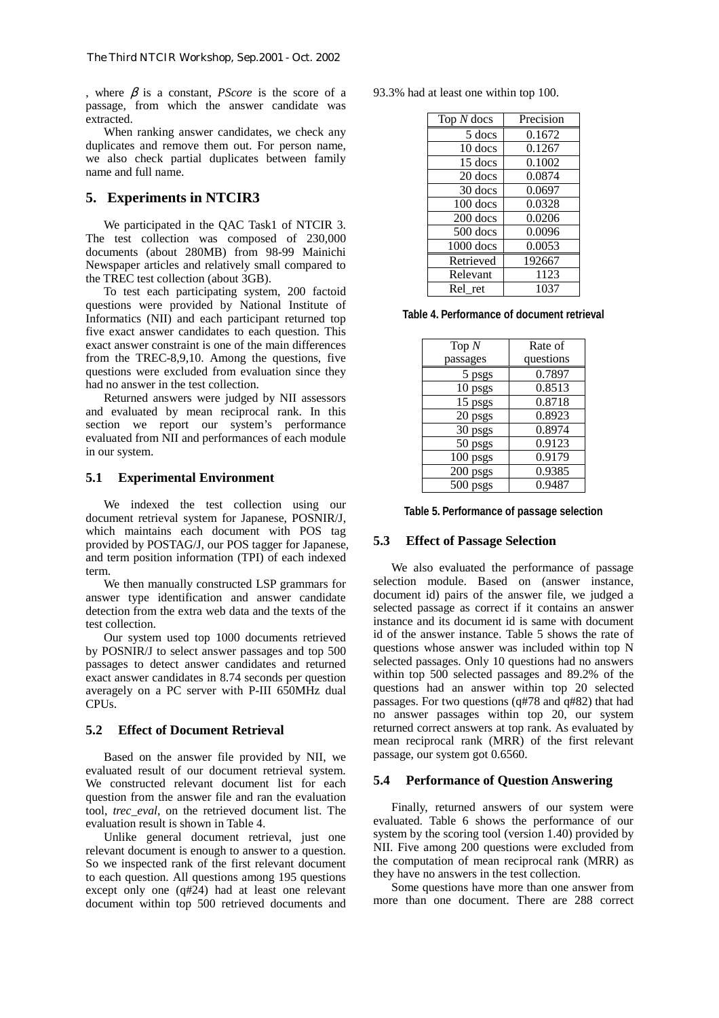, where  $\beta$  is a constant, *PScore* is the score of a passage, from which the answer candidate was extracted.

When ranking answer candidates, we check any duplicates and remove them out. For person name, we also check partial duplicates between family name and full name.

### **5. Experiments in NTCIR3**

We participated in the QAC Task1 of NTCIR 3. The test collection was composed of 230,000 documents (about 280MB) from 98-99 Mainichi Newspaper articles and relatively small compared to the TREC test collection (about 3GB).

To test each participating system, 200 factoid questions were provided by National Institute of Informatics (NII) and each participant returned top five exact answer candidates to each question. This exact answer constraint is one of the main differences from the TREC-8,9,10. Among the questions, five questions were excluded from evaluation since they had no answer in the test collection.

Returned answers were judged by NII assessors and evaluated by mean reciprocal rank. In this section we report our system's performance evaluated from NII and performances of each module in our system.

#### **5.1 Experimental Environment**

We indexed the test collection using our document retrieval system for Japanese, POSNIR/J, which maintains each document with POS tag provided by POSTAG/J, our POS tagger for Japanese, and term position information (TPI) of each indexed term.

We then manually constructed LSP grammars for answer type identification and answer candidate detection from the extra web data and the texts of the test collection.

Our system used top 1000 documents retrieved by POSNIR/J to select answer passages and top 500 passages to detect answer candidates and returned exact answer candidates in 8.74 seconds per question averagely on a PC server with P-III 650MHz dual CPUs.

### **5.2 Effect of Document Retrieval**

Based on the answer file provided by NII, we evaluated result of our document retrieval system. We constructed relevant document list for each question from the answer file and ran the evaluation tool, *trec\_eval*, on the retrieved document list. The evaluation result is shown in Table 4.

Unlike general document retrieval, just one relevant document is enough to answer to a question. So we inspected rank of the first relevant document to each question. All questions among 195 questions except only one (q#24) had at least one relevant document within top 500 retrieved documents and 93.3% had at least one within top 100.

| Top $N$ docs | Precision |
|--------------|-----------|
| 5 docs       | 0.1672    |
| 10 docs      | 0.1267    |
| 15 docs      | 0.1002    |
| 20 docs      | 0.0874    |
| 30 docs      | 0.0697    |
| 100 docs     | 0.0328    |
| 200 docs     | 0.0206    |
| 500 docs     | 0.0096    |
| 1000 docs    | 0.0053    |
| Retrieved    | 192667    |
| Relevant     | 1123      |
| Rel ret      | 1037      |

**Table 4. Performance of document retrieval** 

| Top $N$  | Rate of   |
|----------|-----------|
| passages | questions |
| 5 psgs   | 0.7897    |
| 10 psgs  | 0.8513    |
| 15 psgs  | 0.8718    |
| 20 psgs  | 0.8923    |
| 30 psgs  | 0.8974    |
| 50 psgs  | 0.9123    |
| 100 psgs | 0.9179    |
| 200 psgs | 0.9385    |
| 500 psgs | 0.9487    |

**Table 5. Performance of passage selection** 

### **5.3 Effect of Passage Selection**

We also evaluated the performance of passage selection module. Based on (answer instance, document id) pairs of the answer file, we judged a selected passage as correct if it contains an answer instance and its document id is same with document id of the answer instance. Table 5 shows the rate of questions whose answer was included within top N selected passages. Only 10 questions had no answers within top 500 selected passages and 89.2% of the questions had an answer within top 20 selected passages. For two questions (q#78 and q#82) that had no answer passages within top 20, our system returned correct answers at top rank. As evaluated by mean reciprocal rank (MRR) of the first relevant passage, our system got 0.6560.

### **5.4 Performance of Question Answering**

Finally, returned answers of our system were evaluated. Table 6 shows the performance of our system by the scoring tool (version 1.40) provided by NII. Five among 200 questions were excluded from the computation of mean reciprocal rank (MRR) as they have no answers in the test collection.

Some questions have more than one answer from more than one document. There are 288 correct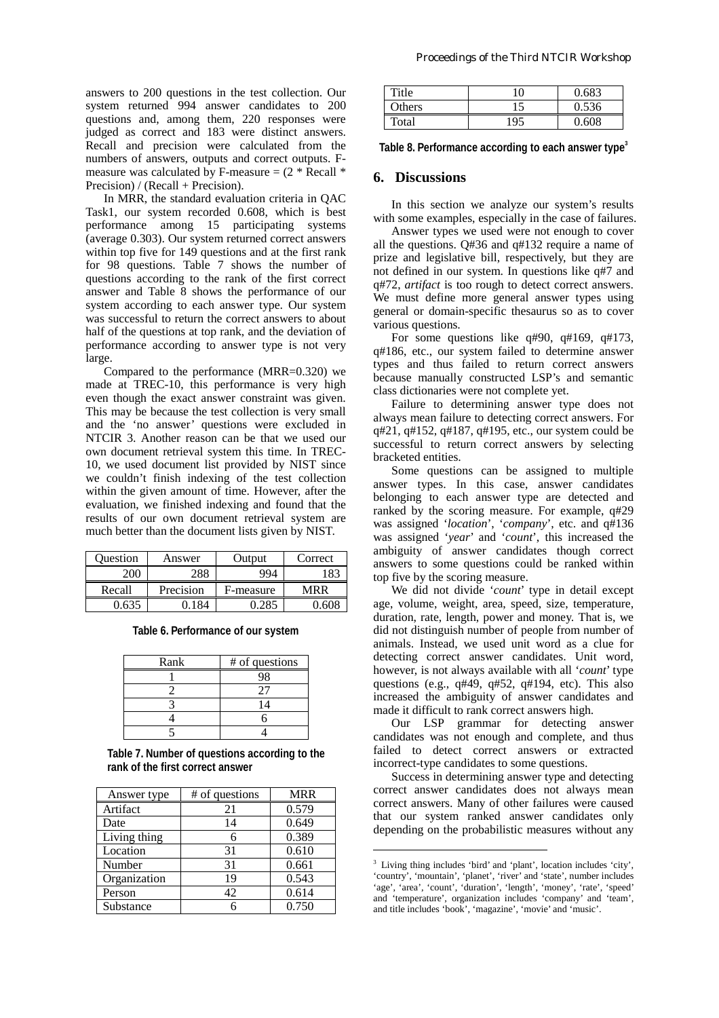answers to 200 questions in the test collection. Our system returned 994 answer candidates to 200 questions and, among them, 220 responses were judged as correct and 183 were distinct answers. Recall and precision were calculated from the numbers of answers, outputs and correct outputs. Fmeasure was calculated by F-measure  $= (2 * Recall *$ Precision) / (Recall + Precision).

In MRR, the standard evaluation criteria in QAC Task1, our system recorded 0.608, which is best performance among 15 participating systems (average 0.303). Our system returned correct answers within top five for 149 questions and at the first rank for 98 questions. Table 7 shows the number of questions according to the rank of the first correct answer and Table 8 shows the performance of our system according to each answer type. Our system was successful to return the correct answers to about half of the questions at top rank, and the deviation of performance according to answer type is not very large.

Compared to the performance (MRR=0.320) we made at TREC-10, this performance is very high even though the exact answer constraint was given. This may be because the test collection is very small and the 'no answer' questions were excluded in NTCIR 3. Another reason can be that we used our own document retrieval system this time. In TREC-10, we used document list provided by NIST since we couldn't finish indexing of the test collection within the given amount of time. However, after the evaluation, we finished indexing and found that the results of our own document retrieval system are much better than the document lists given by NIST.

| Ouestion | Answer    | Output    | Correct |
|----------|-----------|-----------|---------|
| 200      | 288       | 994       |         |
| Recall   | Precision | F-measure | MRR     |
|          |           | 285       |         |

**Table 6. Performance of our system** 

| Rank | # of questions |
|------|----------------|
|      | 98             |
|      |                |
|      | 14             |
|      |                |
|      |                |

**Table 7. Number of questions according to the rank of the first correct answer** 

| Answer type  | # of questions | <b>MRR</b> |
|--------------|----------------|------------|
| Artifact     | 21             | 0.579      |
| Date         | 14             | 0.649      |
| Living thing |                | 0.389      |
| Location     | 31             | 0.610      |
| Number       | 31             | 0.661      |
| Organization | 19             | 0.543      |
| Person       | 42             | 0.614      |
| Substance    |                | 0.750      |

| Title  | 10  | 0.683 |
|--------|-----|-------|
| Others | 15  | 0.536 |
| Total  | 195 | 0.608 |

**Table 8. Performance according to each answer type<sup>3</sup>**

### **6. Discussions**

In this section we analyze our system's results with some examples, especially in the case of failures.

Answer types we used were not enough to cover all the questions. Q#36 and q#132 require a name of prize and legislative bill, respectively, but they are not defined in our system. In questions like q#7 and q#72, *artifact* is too rough to detect correct answers. We must define more general answer types using general or domain-specific thesaurus so as to cover various questions.

For some questions like q#90, q#169, q#173, q#186, etc., our system failed to determine answer types and thus failed to return correct answers because manually constructed LSP's and semantic class dictionaries were not complete yet.

Failure to determining answer type does not always mean failure to detecting correct answers. For q#21, q#152, q#187, q#195, etc., our system could be successful to return correct answers by selecting bracketed entities.

Some questions can be assigned to multiple answer types. In this case, answer candidates belonging to each answer type are detected and ranked by the scoring measure. For example, q#29 was assigned '*location*', '*company*', etc. and q#136 was assigned '*year*' and '*count*', this increased the ambiguity of answer candidates though correct answers to some questions could be ranked within top five by the scoring measure.

We did not divide '*count*' type in detail except age, volume, weight, area, speed, size, temperature, duration, rate, length, power and money. That is, we did not distinguish number of people from number of animals. Instead, we used unit word as a clue for detecting correct answer candidates. Unit word, however, is not always available with all '*count*' type questions (e.g., q#49, q#52, q#194, etc). This also increased the ambiguity of answer candidates and made it difficult to rank correct answers high.

Our LSP grammar for detecting answer candidates was not enough and complete, and thus failed to detect correct answers or extracted incorrect-type candidates to some questions.

Success in determining answer type and detecting correct answer candidates does not always mean correct answers. Many of other failures were caused that our system ranked answer candidates only depending on the probabilistic measures without any

 $\overline{a}$ 

<sup>&</sup>lt;sup>3</sup> Living thing includes 'bird' and 'plant', location includes 'city', 'country', 'mountain', 'planet', 'river' and 'state', number includes 'age', 'area', 'count', 'duration', 'length', 'money', 'rate', 'speed' and 'temperature', organization includes 'company' and 'team', and title includes 'book', 'magazine', 'movie' and 'music'.